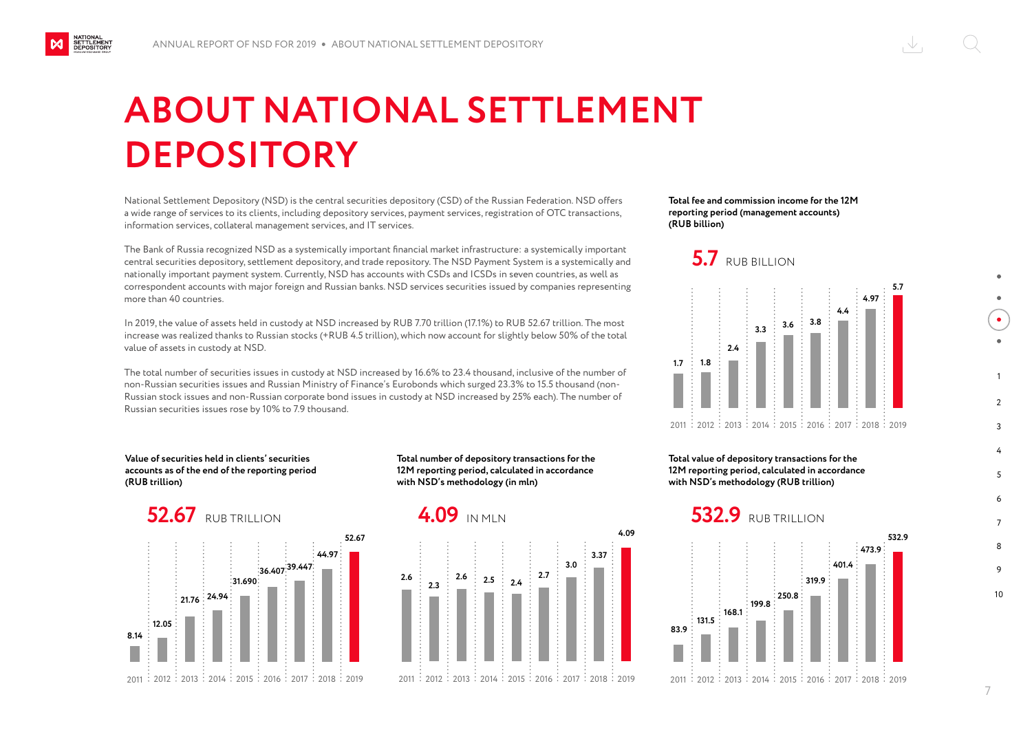## **ABOUT NATIONAL SETTLEMENT DEPOSITORY**

National Settlement Depository (NSD) is the central securities depository (CSD) of the Russian Federation. NSD offers a wide range of services to its clients, including depository services, payment services, registration of OTC transactions, information services, collateral management services, and IT services.

The Bank of Russia recognized NSD as a systemically important financial market infrastructure: a systemically important central securities depository, settlement depository, and trade repository. The NSD Payment System is a systemically and nationally important payment system. Currently, NSD has accounts with CSDs and ICSDs in seven countries, as well as correspondent accounts with major foreign and Russian banks. NSD services securities issued by companies representing more than 40 countries.

In 2019, the value of assets held in custody at NSD increased by RUB 7.70 trillion (17.1%) to RUB 52.67 trillion. The most increase was realized thanks to Russian stocks (+RUB 4.5 trillion), which now account for slightly below 50% of the total value of assets in custody at NSD.

The total number of securities issues in custody at NSD increased by 16.6% to 23.4 thousand, inclusive of the number of non-Russian securities issues and Russian Ministry of Finance's Eurobonds which surged 23.3% to 15.5 thousand (non-Russian stock issues and non-Russian corporate bond issues in custody at NSD increased by 25% each). The number of Russian securities issues rose by 10% to 7.9 thousand.

**52.67**

**Value of securities held in clients' securities accounts as of the end of the reporting period (RUB trillion)**

**Total number of depository transactions for the 12M reporting period, calculated in accordance with NSD's methodology (in mln)**



**21.76 24.94**

2011 :2012 :2013 :2014 :2015 :2016 :2017 :2018 :2019

**8.14**

NATIONAL<br>SETTLEMENT<br>DEPOSITORY

**12.05**



**Total fee and commission income for the 12M reporting period (management accounts) (RUB billion)**





**Total value of depository transactions for the 12M reporting period, calculated in accordance with NSD's methodology (RUB trillion)**



10